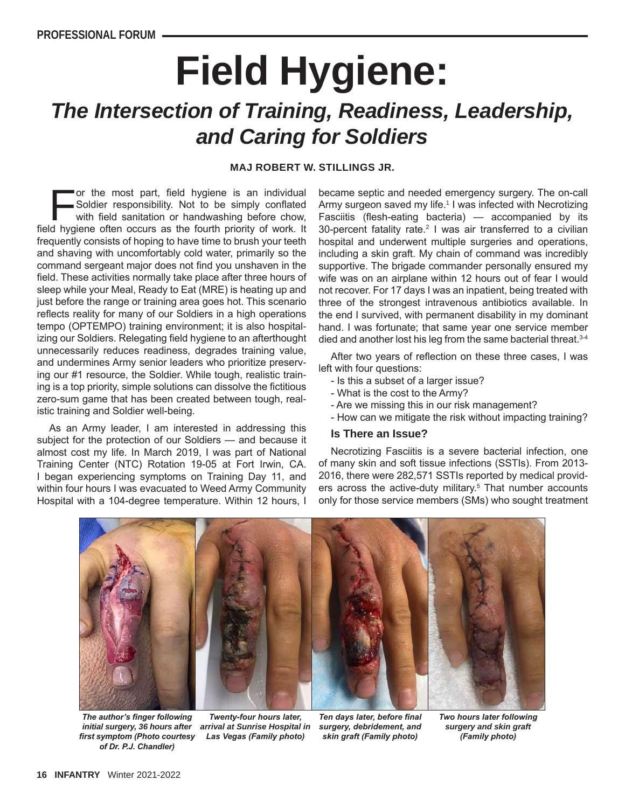# **Field Hygiene:**

# *The Intersection of Training, Readiness, Leadership, and Caring for Soldiers*

#### **MAJ ROBERT W. STILLINGS JR.**

For the most part, field hygiene is an individual<br>Soldier responsibility. Not to be simply conflated<br>with field sanitation or handwashing before chow,<br>In hygiene often occurs as the fourth priority of work. It Soldier responsibility. Not to be simply conflated with field sanitation or handwashing before chow, field hygiene often occurs as the fourth priority of work. It frequently consists of hoping to have time to brush your teeth and shaving with uncomfortably cold water, primarily so the command sergeant major does not find you unshaven in the field. These activities normally take place after three hours of sleep while your Meal, Ready to Eat (MRE) is heating up and just before the range or training area goes hot. This scenario reflects reality for many of our Soldiers in a high operations tempo (OPTEMPO) training environment; it is also hospitalizing our Soldiers. Relegating field hygiene to an afterthought unnecessarily reduces readiness, degrades training value, and undermines Army senior leaders who prioritize preserving our #1 resource, the Soldier. While tough, realistic training is a top priority, simple solutions can dissolve the fictitious zero-sum game that has been created between tough, realistic training and Soldier well-being.

As an Army leader, I am interested in addressing this subject for the protection of our Soldiers — and because it almost cost my life. In March 2019, I was part of National Training Center (NTC) Rotation 19-05 at Fort Irwin, CA. I began experiencing symptoms on Training Day 11, and within four hours I was evacuated to Weed Army Community Hospital with a 104-degree temperature. Within 12 hours, I

became septic and needed emergency surgery. The on-call Army surgeon saved my life.<sup>1</sup> I was infected with Necrotizing Fasciitis (flesh-eating bacteria) — accompanied by its 30-percent fatality rate.<sup>2</sup> I was air transferred to a civilian hospital and underwent multiple surgeries and operations, including a skin graft. My chain of command was incredibly supportive. The brigade commander personally ensured my wife was on an airplane within 12 hours out of fear I would not recover. For 17 days I was an inpatient, being treated with three of the strongest intravenous antibiotics available. In the end I survived, with permanent disability in my dominant hand. I was fortunate; that same year one service member died and another lost his leg from the same bacterial threat.<sup>3-4</sup>

After two years of reflection on these three cases, I was left with four questions:

- Is this a subset of a larger issue?
- What is the cost to the Army?
- Are we missing this in our risk management?
- How can we mitigate the risk without impacting training?

#### **Is There an Issue?**

Necrotizing Fasciitis is a severe bacterial infection, one of many skin and soft tissue infections (SSTIs). From 2013- 2016, there were 282,571 SSTIs reported by medical providers across the active-duty military.<sup>5</sup> That number accounts only for those service members (SMs) who sought treatment



*The author's finger following initial surgery, 36 hours after first symptom (Photo courtesy of Dr. P.J. Chandler)*

*Twenty-four hours later, arrival at Sunrise Hospital in Las Vegas (Family photo)*

*Ten days later, before final surgery, debridement, and skin graft (Family photo)*

*Two hours later following surgery and skin graft (Family photo)*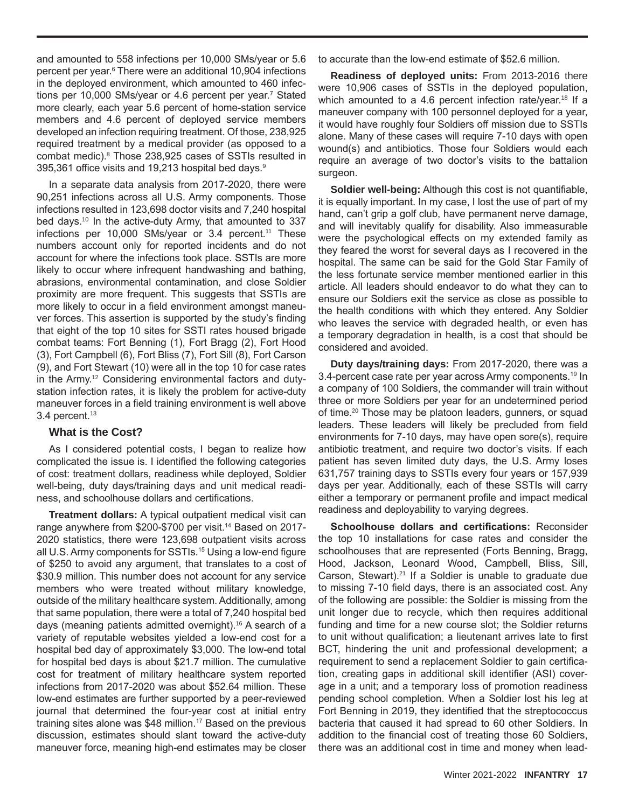and amounted to 558 infections per 10,000 SMs/year or 5.6 percent per year.<sup>6</sup> There were an additional 10,904 infections in the deployed environment, which amounted to 460 infections per 10,000 SMs/year or 4.6 percent per year.<sup>7</sup> Stated more clearly, each year 5.6 percent of home-station service members and 4.6 percent of deployed service members developed an infection requiring treatment. Of those, 238,925 required treatment by a medical provider (as opposed to a combat medic).<sup>8</sup> Those 238,925 cases of SSTIs resulted in 395,361 office visits and 19,213 hospital bed days.9

In a separate data analysis from 2017-2020, there were 90,251 infections across all U.S. Army components. Those infections resulted in 123,698 doctor visits and 7,240 hospital bed days.<sup>10</sup> In the active-duty Army, that amounted to 337 infections per 10,000 SMs/year or 3.4 percent.<sup>11</sup> These numbers account only for reported incidents and do not account for where the infections took place. SSTIs are more likely to occur where infrequent handwashing and bathing, abrasions, environmental contamination, and close Soldier proximity are more frequent. This suggests that SSTIs are more likely to occur in a field environment amongst maneuver forces. This assertion is supported by the study's finding that eight of the top 10 sites for SSTI rates housed brigade combat teams: Fort Benning (1), Fort Bragg (2), Fort Hood (3), Fort Campbell (6), Fort Bliss (7), Fort Sill (8), Fort Carson (9), and Fort Stewart (10) were all in the top 10 for case rates in the Army.12 Considering environmental factors and dutystation infection rates, it is likely the problem for active-duty maneuver forces in a field training environment is well above 3.4 percent.<sup>13</sup>

## **What is the Cost?**

As I considered potential costs, I began to realize how complicated the issue is. I identified the following categories of cost: treatment dollars, readiness while deployed, Soldier well-being, duty days/training days and unit medical readiness, and schoolhouse dollars and certifications.

**Treatment dollars:** A typical outpatient medical visit can range anywhere from \$200-\$700 per visit.<sup>14</sup> Based on 2017-2020 statistics, there were 123,698 outpatient visits across all U.S. Army components for SSTIs.<sup>15</sup> Using a low-end figure of \$250 to avoid any argument, that translates to a cost of \$30.9 million. This number does not account for any service members who were treated without military knowledge, outside of the military healthcare system. Additionally, among that same population, there were a total of 7,240 hospital bed days (meaning patients admitted overnight).<sup>16</sup> A search of a variety of reputable websites yielded a low-end cost for a hospital bed day of approximately \$3,000. The low-end total for hospital bed days is about \$21.7 million. The cumulative cost for treatment of military healthcare system reported infections from 2017-2020 was about \$52.64 million. These low-end estimates are further supported by a peer-reviewed journal that determined the four-year cost at initial entry training sites alone was \$48 million.<sup>17</sup> Based on the previous discussion, estimates should slant toward the active-duty maneuver force, meaning high-end estimates may be closer to accurate than the low-end estimate of \$52.6 million.

**Readiness of deployed units:** From 2013-2016 there were 10,906 cases of SSTIs in the deployed population, which amounted to a 4.6 percent infection rate/year.<sup>18</sup> If a maneuver company with 100 personnel deployed for a year, it would have roughly four Soldiers off mission due to SSTIs alone. Many of these cases will require 7-10 days with open wound(s) and antibiotics. Those four Soldiers would each require an average of two doctor's visits to the battalion surgeon.

**Soldier well-being:** Although this cost is not quantifiable, it is equally important. In my case, I lost the use of part of my hand, can't grip a golf club, have permanent nerve damage, and will inevitably qualify for disability. Also immeasurable were the psychological effects on my extended family as they feared the worst for several days as I recovered in the hospital. The same can be said for the Gold Star Family of the less fortunate service member mentioned earlier in this article. All leaders should endeavor to do what they can to ensure our Soldiers exit the service as close as possible to the health conditions with which they entered. Any Soldier who leaves the service with degraded health, or even has a temporary degradation in health, is a cost that should be considered and avoided.

**Duty days/training days:** From 2017-2020, there was a 3.4-percent case rate per year across Army components.<sup>19</sup> In a company of 100 Soldiers, the commander will train without three or more Soldiers per year for an undetermined period of time.<sup>20</sup> Those may be platoon leaders, gunners, or squad leaders. These leaders will likely be precluded from field environments for 7-10 days, may have open sore(s), require antibiotic treatment, and require two doctor's visits. If each patient has seven limited duty days, the U.S. Army loses 631,757 training days to SSTIs every four years or 157,939 days per year. Additionally, each of these SSTIs will carry either a temporary or permanent profile and impact medical readiness and deployability to varying degrees.

**Schoolhouse dollars and certifications:** Reconsider the top 10 installations for case rates and consider the schoolhouses that are represented (Forts Benning, Bragg, Hood, Jackson, Leonard Wood, Campbell, Bliss, Sill, Carson, Stewart). $21$  If a Soldier is unable to graduate due to missing 7-10 field days, there is an associated cost. Any of the following are possible: the Soldier is missing from the unit longer due to recycle, which then requires additional funding and time for a new course slot; the Soldier returns to unit without qualification; a lieutenant arrives late to first BCT, hindering the unit and professional development; a requirement to send a replacement Soldier to gain certification, creating gaps in additional skill identifier (ASI) coverage in a unit; and a temporary loss of promotion readiness pending school completion. When a Soldier lost his leg at Fort Benning in 2019, they identified that the streptococcus bacteria that caused it had spread to 60 other Soldiers. In addition to the financial cost of treating those 60 Soldiers, there was an additional cost in time and money when lead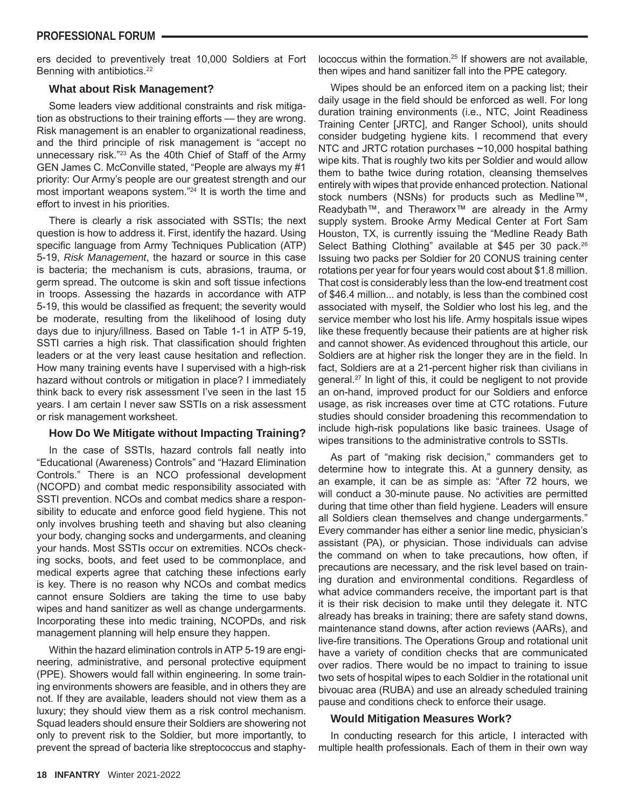ers decided to preventively treat 10,000 Soldiers at Fort Benning with antibiotics.<sup>22</sup>

## **What about Risk Management?**

Some leaders view additional constraints and risk mitigation as obstructions to their training efforts — they are wrong. Risk management is an enabler to organizational readiness, and the third principle of risk management is "accept no unnecessary risk."<sup>23</sup> As the 40th Chief of Staff of the Army GEN James C. McConville stated, "People are always my #1 priority: Our Army's people are our greatest strength and our most important weapons system."24 It is worth the time and effort to invest in his priorities.

There is clearly a risk associated with SSTIs; the next question is how to address it. First, identify the hazard. Using specific language from Army Techniques Publication (ATP) 5-19, *Risk Management*, the hazard or source in this case is bacteria; the mechanism is cuts, abrasions, trauma, or germ spread. The outcome is skin and soft tissue infections in troops. Assessing the hazards in accordance with ATP 5-19, this would be classified as frequent; the severity would be moderate, resulting from the likelihood of losing duty days due to injury/illness. Based on Table 1-1 in ATP 5-19, SSTI carries a high risk. That classification should frighten leaders or at the very least cause hesitation and reflection. How many training events have I supervised with a high-risk hazard without controls or mitigation in place? I immediately think back to every risk assessment I've seen in the last 15 years. I am certain I never saw SSTIs on a risk assessment or risk management worksheet.

## **How Do We Mitigate without Impacting Training?**

In the case of SSTIs, hazard controls fall neatly into "Educational (Awareness) Controls" and "Hazard Elimination Controls." There is an NCO professional development (NCOPD) and combat medic responsibility associated with SSTI prevention. NCOs and combat medics share a responsibility to educate and enforce good field hygiene. This not only involves brushing teeth and shaving but also cleaning your body, changing socks and undergarments, and cleaning your hands. Most SSTIs occur on extremities. NCOs checking socks, boots, and feet used to be commonplace, and medical experts agree that catching these infections early is key. There is no reason why NCOs and combat medics cannot ensure Soldiers are taking the time to use baby wipes and hand sanitizer as well as change undergarments. Incorporating these into medic training, NCOPDs, and risk management planning will help ensure they happen.

Within the hazard elimination controls in ATP 5-19 are engineering, administrative, and personal protective equipment (PPE). Showers would fall within engineering. In some training environments showers are feasible, and in others they are not. If they are available, leaders should not view them as a luxury; they should view them as a risk control mechanism. Squad leaders should ensure their Soldiers are showering not only to prevent risk to the Soldier, but more importantly, to prevent the spread of bacteria like streptococcus and staphylococcus within the formation.25 If showers are not available, then wipes and hand sanitizer fall into the PPE category.

Wipes should be an enforced item on a packing list; their daily usage in the field should be enforced as well. For long duration training environments (i.e., NTC, Joint Readiness Training Center [JRTC], and Ranger School), units should consider budgeting hygiene kits. I recommend that every NTC and JRTC rotation purchases ~10,000 hospital bathing wipe kits. That is roughly two kits per Soldier and would allow them to bathe twice during rotation, cleansing themselves entirely with wipes that provide enhanced protection. National stock numbers (NSNs) for products such as Medline™, Readybath™, and Theraworx™ are already in the Army supply system. Brooke Army Medical Center at Fort Sam Houston, TX, is currently issuing the "Medline Ready Bath Select Bathing Clothing" available at \$45 per 30 pack.<sup>26</sup> Issuing two packs per Soldier for 20 CONUS training center rotations per year for four years would cost about \$1.8 million. That cost is considerably less than the low-end treatment cost of \$46.4 million... and notably, is less than the combined cost associated with myself, the Soldier who lost his leg, and the service member who lost his life. Army hospitals issue wipes like these frequently because their patients are at higher risk and cannot shower. As evidenced throughout this article, our Soldiers are at higher risk the longer they are in the field. In fact, Soldiers are at a 21-percent higher risk than civilians in general.<sup>27</sup> In light of this, it could be negligent to not provide an on-hand, improved product for our Soldiers and enforce usage, as risk increases over time at CTC rotations. Future studies should consider broadening this recommendation to include high-risk populations like basic trainees. Usage of wipes transitions to the administrative controls to SSTIs.

As part of "making risk decision," commanders get to determine how to integrate this. At a gunnery density, as an example, it can be as simple as: "After 72 hours, we will conduct a 30-minute pause. No activities are permitted during that time other than field hygiene. Leaders will ensure all Soldiers clean themselves and change undergarments." Every commander has either a senior line medic, physician's assistant (PA), or physician. Those individuals can advise the command on when to take precautions, how often, if precautions are necessary, and the risk level based on training duration and environmental conditions. Regardless of what advice commanders receive, the important part is that it is their risk decision to make until they delegate it. NTC already has breaks in training; there are safety stand downs, maintenance stand downs, after action reviews (AARs), and live-fire transitions. The Operations Group and rotational unit have a variety of condition checks that are communicated over radios. There would be no impact to training to issue two sets of hospital wipes to each Soldier in the rotational unit bivouac area (RUBA) and use an already scheduled training pause and conditions check to enforce their usage.

# **Would Mitigation Measures Work?**

In conducting research for this article, I interacted with multiple health professionals. Each of them in their own way